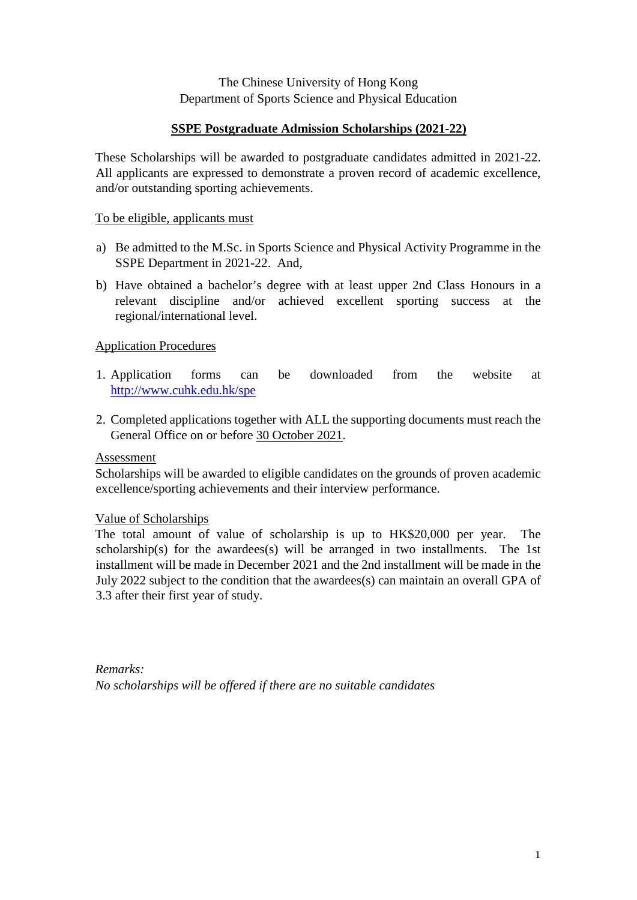### The Chinese University of Hong Kong Department of Sports Science and Physical Education

### **SSPE Postgraduate Admission Scholarships (2021-22)**

These Scholarships will be awarded to postgraduate candidates admitted in 2021-22. All applicants are expressed to demonstrate a proven record of academic excellence, and/or outstanding sporting achievements.

#### To be eligible, applicants must

- a) Be admitted to the M.Sc. in Sports Science and Physical Activity Programme in the SSPE Department in 2021-22. And,
- b) Have obtained a bachelor's degree with at least upper 2nd Class Honours in a relevant discipline and/or achieved excellent sporting success at the regional/international level.

#### Application Procedures

- 1. Application forms can be downloaded from the website at <http://www.cuhk.edu.hk/spe>
- 2. Completed applications together with ALL the supporting documents must reach the General Office on or before 30 October 2021.

#### Assessment

Scholarships will be awarded to eligible candidates on the grounds of proven academic excellence/sporting achievements and their interview performance.

#### Value of Scholarships

The total amount of value of scholarship is up to HK\$20,000 per year. The scholarship(s) for the awardees(s) will be arranged in two installments. The 1st installment will be made in December 2021 and the 2nd installment will be made in the July 2022 subject to the condition that the awardees(s) can maintain an overall GPA of 3.3 after their first year of study.

*Remarks: No scholarships will be offered if there are no suitable candidates*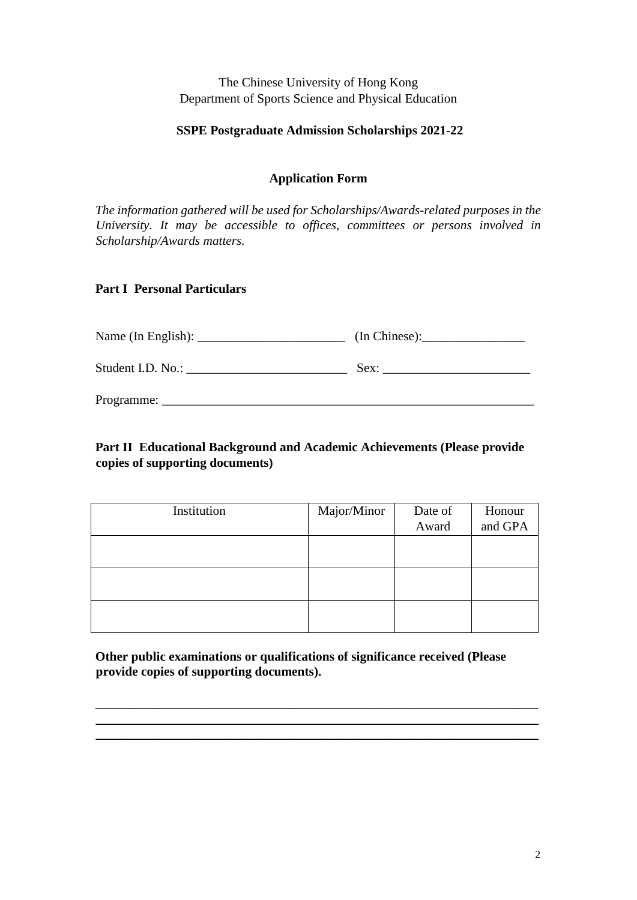The Chinese University of Hong Kong Department of Sports Science and Physical Education

### **SSPE Postgraduate Admission Scholarships 2021-22**

## **Application Form**

*The information gathered will be used for Scholarships/Awards-related purposes in the University. It may be accessible to offices, committees or persons involved in Scholarship/Awards matters.* 

## **Part I Personal Particulars**

|                   | (In Chinese): |
|-------------------|---------------|
| Student I.D. No.: | Sex:          |
| Programme:        |               |

# **Part II Educational Background and Academic Achievements (Please provide copies of supporting documents)**

| Institution | Major/Minor | Date of | Honour  |
|-------------|-------------|---------|---------|
|             |             | Award   | and GPA |
|             |             |         |         |
|             |             |         |         |
|             |             |         |         |
|             |             |         |         |
|             |             |         |         |
|             |             |         |         |

**Other public examinations or qualifications of significance received (Please provide copies of supporting documents).** 

**\_\_\_\_\_\_\_\_\_\_\_\_\_\_\_\_\_\_\_\_\_\_\_\_\_\_\_\_\_\_\_\_\_\_\_\_\_\_\_\_\_\_\_\_\_\_\_\_\_\_\_\_\_\_\_\_\_\_\_\_\_\_\_\_\_\_\_\_\_ \_\_\_\_\_\_\_\_\_\_\_\_\_\_\_\_\_\_\_\_\_\_\_\_\_\_\_\_\_\_\_\_\_\_\_\_\_\_\_\_\_\_\_\_\_\_\_\_\_\_\_\_\_\_\_\_\_\_\_\_\_\_\_\_\_\_\_\_\_ \_\_\_\_\_\_\_\_\_\_\_\_\_\_\_\_\_\_\_\_\_\_\_\_\_\_\_\_\_\_\_\_\_\_\_\_\_\_\_\_\_\_\_\_\_\_\_\_\_\_\_\_\_\_\_\_\_\_\_\_\_\_\_\_\_\_\_\_\_**